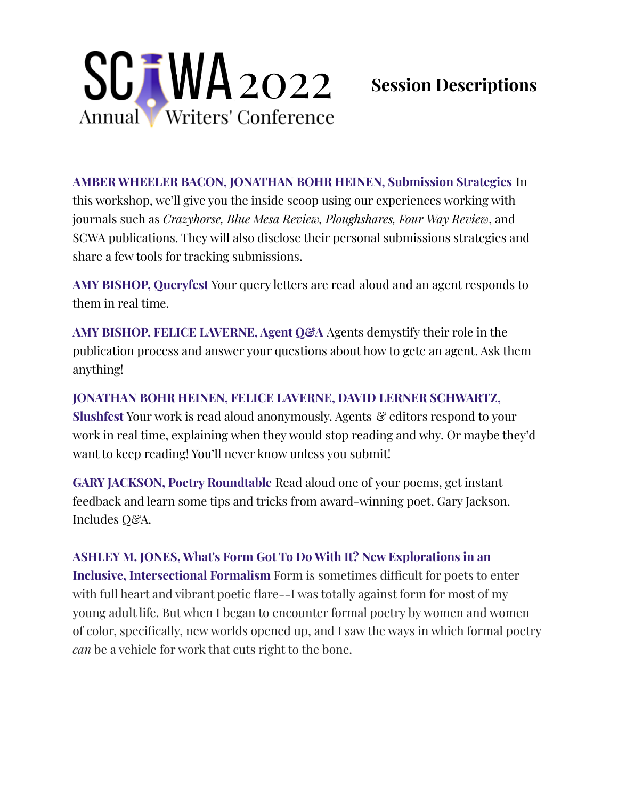

## **Session Descriptions**

**AMBER WHEELER BACON, JONATHAN BOHR HEINEN, Submission Strategies** In this workshop, we'll give you the inside scoop using our experiences working with journals such as *Crazyhorse, Blue Mesa Review, Ploughshares, Four Way Review*, and SCWA publications. They will also disclose their personal submissions strategies and share a few tools for tracking submissions.

**AMY BISHOP, Queryfest** Your query letters are read aloud and an agent responds to them in real time.

**AMY BISHOP, FELICE LAVERNE, Agent Q&A** Agents demystify their role in the publication process and answer your questions about how to gete an agent. Ask them anything!

**JONATHAN BOHR HEINEN, FELICE LAVERNE, DAVID LERNER SCHWARTZ, Slushfest** Your work is read aloud anonymously. Agents & editors respond to your work in real time, explaining when they would stop reading and why. Or maybe they'd want to keep reading! You'll never know unless you submit!

**GARY JACKSON, Poetry Roundtable** Read aloud one of your poems, get instant feedback and learn some tips and tricks from award-winning poet, Gary Jackson. Includes Q&A.

**ASHLEY M. JONES, What's Form Got To Do With It? New Explorations in an Inclusive, Intersectional Formalism** Form is sometimes difficult for poets to enter with full heart and vibrant poetic flare--I was totally against form for most of my young adult life. But when I began to encounter formal poetry by women and women of color, specifically, new worlds opened up, and I saw the ways in which formal poetry *can* be a vehicle for work that cuts right to the bone.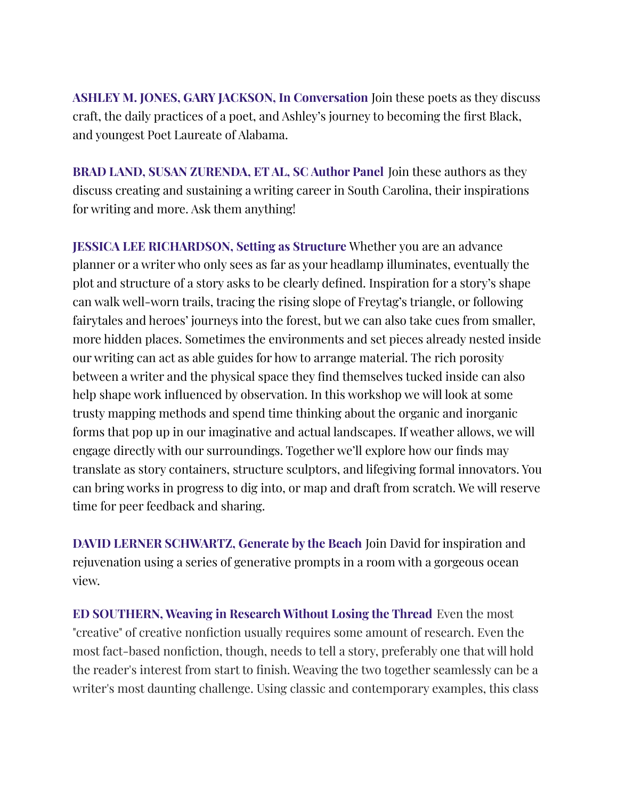**ASHLEY M. JONES, GARY JACKSON, In Conversation** Join these poets as they discuss craft, the daily practices of a poet, and Ashley's journey to becoming the first Black, and youngest Poet Laureate of Alabama.

**BRAD LAND, SUSAN ZURENDA, ET AL, SC Author Panel** Join these authors as they discuss creating and sustaining a writing career in South Carolina, their inspirations for writing and more. Ask them anything!

**JESSICA LEE RICHARDSON, Setting as Structure** Whether you are an advance planner or a writer who only sees as far as your headlamp illuminates, eventually the plot and structure of a story asks to be clearly defined. Inspiration for a story's shape can walk well-worn trails, tracing the rising slope of Freytag's triangle, or following fairytales and heroes' journeys into the forest, but we can also take cues from smaller, more hidden places. Sometimes the environments and set pieces already nested inside our writing can act as able guides for how to arrange material. The rich porosity between a writer and the physical space they find themselves tucked inside can also help shape work influenced by observation. In this workshop we will look at some trusty mapping methods and spend time thinking about the organic and inorganic forms that pop up in our imaginative and actual landscapes. If weather allows, we will engage directly with our surroundings. Together we'll explore how our finds may translate as story containers, structure sculptors, and lifegiving formal innovators. You can bring works in progress to dig into, or map and draft from scratch. We will reserve time for peer feedback and sharing.

**DAVID LERNER SCHWARTZ, Generate by the Beach** Join David for inspiration and rejuvenation using a series of generative prompts in a room with a gorgeous ocean view.

**ED SOUTHERN, Weaving in Research Without Losing the Thread** Even the most "creative" of creative nonfiction usually requires some amount of research. Even the most fact-based nonfiction, though, needs to tell a story, preferably one that will hold the reader's interest from start to finish. Weaving the two together seamlessly can be a writer's most daunting challenge. Using classic and contemporary examples, this class